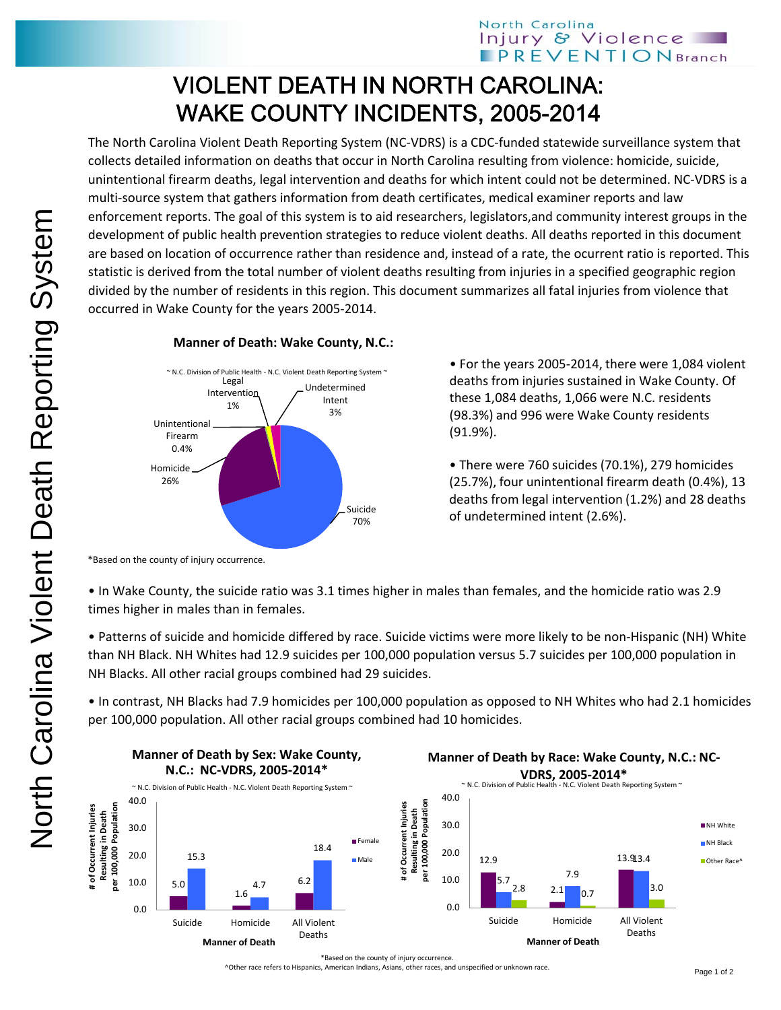## VIOLENT DEATH IN NORTH CAROLINA: WAKE COUNTY INCIDENTS, 2005-2014

The North Carolina Violent Death Reporting System (NC‐VDRS) is a CDC‐funded statewide surveillance system that collects detailed information on deaths that occur in North Carolina resulting from violence: homicide, suicide, unintentional firearm deaths, legal intervention and deaths for which intent could not be determined. NC‐VDRS is a multi-source system that gathers information from death certificates, medical examiner reports and law enforcement reports. The goal of this system is to aid researchers, legislators,and community interest groups in the development of public health prevention strategies to reduce violent deaths. All deaths reported in this document are based on location of occurrence rather than residence and, instead of a rate, the ocurrent ratio is reported. This statistic is derived from the total number of violent deaths resulting from injuries in a specified geographic region divided by the number of residents in this region. This document summarizes all fatal injuries from violence that occurred in Wake County for the years 2005‐2014.



**Manner of Death: Wake County, N.C.:**

• For the years 2005‐2014, there were 1,084 violent deaths from injuries sustained in Wake County. Of these 1,084 deaths, 1,066 were N.C. residents (98.3%) and 996 were Wake County residents (91.9%).

• There were 760 suicides (70.1%), 279 homicides (25.7%), four unintentional firearm death (0.4%), 13 deaths from legal intervention (1.2%) and 28 deaths of undetermined intent (2.6%).

• In Wake County, the suicide ratio was 3.1 times higher in males than females, and the homicide ratio was 2.9 times higher in males than in females.

• Patterns of suicide and homicide differed by race. Suicide victims were more likely to be non‐Hispanic (NH) White than NH Black. NH Whites had 12.9 suicides per 100,000 population versus 5.7 suicides per 100,000 population in NH Blacks. All other racial groups combined had 29 suicides.

• In contrast, NH Blacks had 7.9 homicides per 100,000 population as opposed to NH Whites who had 2.1 homicides per 100,000 population. All other racial groups combined had 10 homicides.



<sup>\*</sup>Based on the county of injury occurrence.

^Other race refers to Hispanics, American Indians, Asians, other races, and unspecified or unknown race.

<sup>\*</sup>Based on the county of injury occurrence.